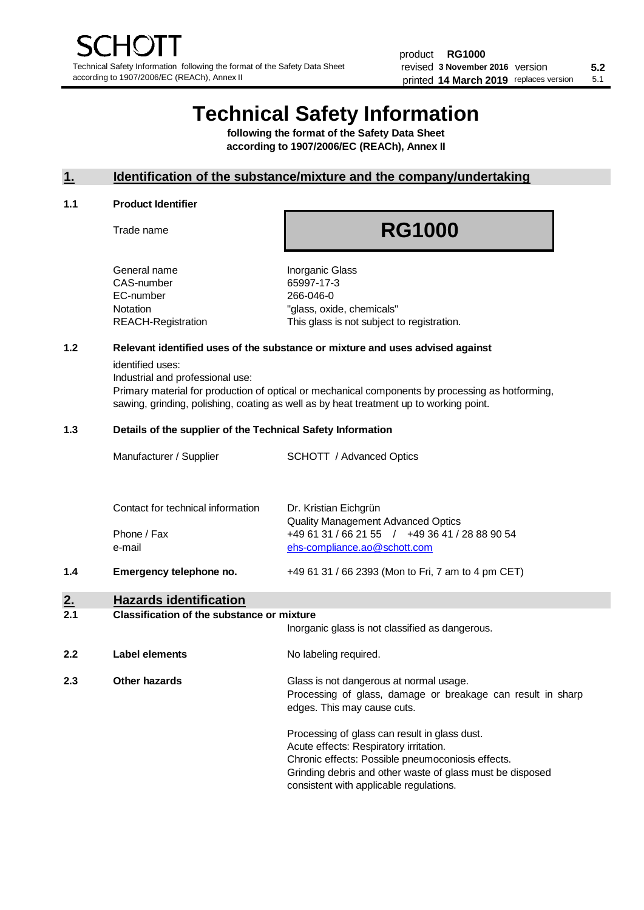# **Technical Safety Information**

**following the format of the Safety Data Sheet according to 1907/2006/EC (REACh), Annex II**

### **1. Identification of the substance/mixture and the company/undertaking**

#### **1.1 Product Identifier**

Trade name

# **RG1000**

| General name       |
|--------------------|
| CAS-number         |
| EC-number          |
| Notation           |
| REACH-Registration |

**Inorganic Glass** 65997-17-3 266-046-0 "glass, oxide, chemicals" This glass is not subject to registration.

### **1.2 Relevant identified uses of the substance or mixture and uses advised against**

identified uses:

Industrial and professional use:

Primary material for production of optical or mechanical components by processing as hotforming, sawing, grinding, polishing, coating as well as by heat treatment up to working point.

#### **1.3 Details of the supplier of the Technical Safety Information**

| 1.4<br>Emergency telephone no.    | +49 61 31 / 66 2393 (Mon to Fri, 7 am to 4 pm CET)                                          |  |
|-----------------------------------|---------------------------------------------------------------------------------------------|--|
| e-mail                            | ehs-compliance.ao@schott.com                                                                |  |
| Phone / Fax                       | <b>Quality Management Advanced Optics</b><br>+49 61 31 / 66 21 55 / +49 36 41 / 28 88 90 54 |  |
| Contact for technical information | Dr. Kristian Eichgrün                                                                       |  |
| Manufacturer / Supplier           | <b>SCHOTT</b> / Advanced Optics                                                             |  |

# **2. Hazards identification**

#### **2.1 Classification of the substance or mixture**

|     |                | Inorganic glass is not classified as dangerous.                                                                                                                                                                                                      |
|-----|----------------|------------------------------------------------------------------------------------------------------------------------------------------------------------------------------------------------------------------------------------------------------|
| 2.2 | Label elements | No labeling required.                                                                                                                                                                                                                                |
| 2.3 | Other hazards  | Glass is not dangerous at normal usage.<br>Processing of glass, damage or breakage can result in sharp<br>edges. This may cause cuts.                                                                                                                |
|     |                | Processing of glass can result in glass dust.<br>Acute effects: Respiratory irritation.<br>Chronic effects: Possible pneumoconiosis effects.<br>Grinding debris and other waste of glass must be disposed<br>consistent with applicable regulations. |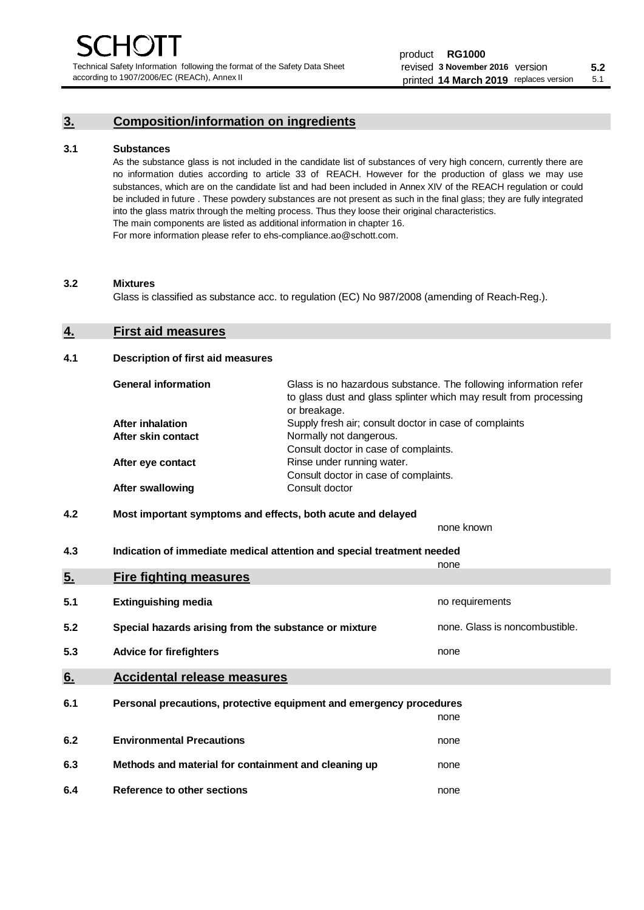Technical Safety Information following the format of the Safety Data Sheet according to 1907/2006/EC (REACh), Annex II

# **3. Composition/information on ingredients**

#### **3.1 Substances**

As the substance glass is not included in the candidate list of substances of very high concern, currently there are no information duties according to article 33 of REACH. However for the production of glass we may use substances, which are on the candidate list and had been included in Annex XIV of the REACH regulation or could be included in future . These powdery substances are not present as such in the final glass; they are fully integrated into the glass matrix through the melting process. Thus they loose their original characteristics. The main components are listed as additional information in chapter 16. For more information please refer to ehs-compliance.ao@schott.com.

#### **3.2 Mixtures**

Glass is classified as substance acc. to regulation (EC) No 987/2008 (amending of Reach-Reg.).

### **4. First aid measures**

#### **4.1 Description of first aid measures**

| <b>General information</b> | Glass is no hazardous substance. The following information refer<br>to glass dust and glass splinter which may result from processing<br>or breakage. |
|----------------------------|-------------------------------------------------------------------------------------------------------------------------------------------------------|
| <b>After inhalation</b>    | Supply fresh air; consult doctor in case of complaints                                                                                                |
| After skin contact         | Normally not dangerous.                                                                                                                               |
|                            | Consult doctor in case of complaints.                                                                                                                 |
| After eye contact          | Rinse under running water.                                                                                                                            |
|                            | Consult doctor in case of complaints.                                                                                                                 |
| <b>After swallowing</b>    | Consult doctor                                                                                                                                        |

# **4.2 Most important symptoms and effects, both acute and delayed**

none known **4.3 Indication of immediate medical attention and special treatment needed** 

|     |                                                                     | none                           |
|-----|---------------------------------------------------------------------|--------------------------------|
| 5.  | <b>Fire fighting measures</b>                                       |                                |
| 5.1 | <b>Extinguishing media</b>                                          | no requirements                |
| 5.2 | Special hazards arising from the substance or mixture               | none. Glass is noncombustible. |
| 5.3 | <b>Advice for firefighters</b>                                      | none                           |
| 6.  | <b>Accidental release measures</b>                                  |                                |
| 6.1 | Personal precautions, protective equipment and emergency procedures |                                |
|     |                                                                     | none                           |
| 6.2 | <b>Environmental Precautions</b>                                    | none                           |
| 6.3 | Methods and material for containment and cleaning up                | none                           |
| 6.4 | Reference to other sections                                         | none                           |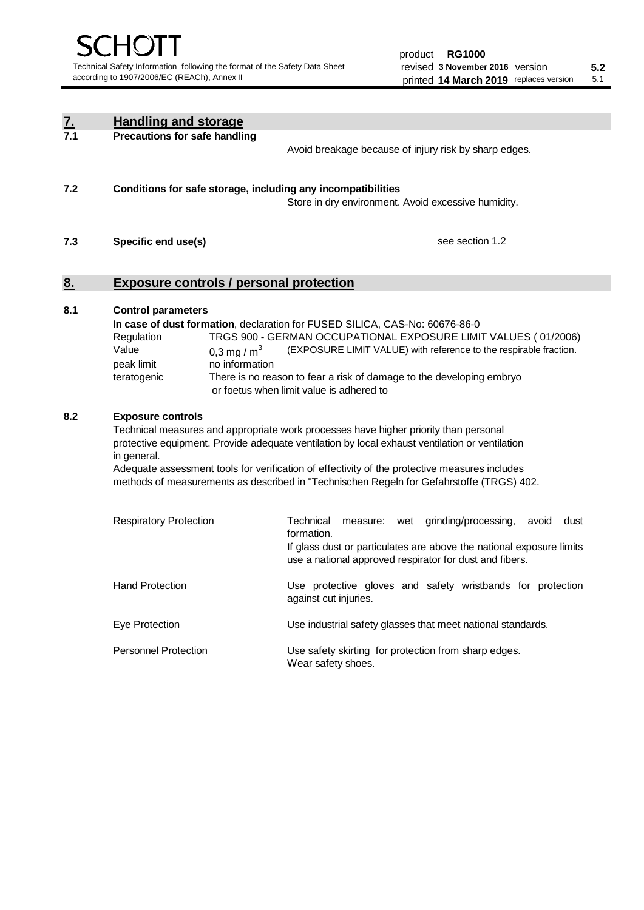| <u>7.</u> | <b>Handling and storage</b>                                                                                                                                                                                                                                                                                                                                                                                                    |                                                                                                                                                                                                                                                                                                                                        |  |  |  |
|-----------|--------------------------------------------------------------------------------------------------------------------------------------------------------------------------------------------------------------------------------------------------------------------------------------------------------------------------------------------------------------------------------------------------------------------------------|----------------------------------------------------------------------------------------------------------------------------------------------------------------------------------------------------------------------------------------------------------------------------------------------------------------------------------------|--|--|--|
| 7.1       | <b>Precautions for safe handling</b>                                                                                                                                                                                                                                                                                                                                                                                           | Avoid breakage because of injury risk by sharp edges.                                                                                                                                                                                                                                                                                  |  |  |  |
| 7.2       | Conditions for safe storage, including any incompatibilities                                                                                                                                                                                                                                                                                                                                                                   | Store in dry environment. Avoid excessive humidity.                                                                                                                                                                                                                                                                                    |  |  |  |
| 7.3       | Specific end use(s)                                                                                                                                                                                                                                                                                                                                                                                                            | see section 1.2                                                                                                                                                                                                                                                                                                                        |  |  |  |
| 8.        | <b>Exposure controls / personal protection</b>                                                                                                                                                                                                                                                                                                                                                                                 |                                                                                                                                                                                                                                                                                                                                        |  |  |  |
| 8.1       | <b>Control parameters</b><br>Regulation<br>Value<br>0.3 mg / $m3$<br>peak limit<br>no information<br>teratogenic                                                                                                                                                                                                                                                                                                               | In case of dust formation, declaration for FUSED SILICA, CAS-No: 60676-86-0<br>TRGS 900 - GERMAN OCCUPATIONAL EXPOSURE LIMIT VALUES (01/2006)<br>(EXPOSURE LIMIT VALUE) with reference to the respirable fraction.<br>There is no reason to fear a risk of damage to the developing embryo<br>or foetus when limit value is adhered to |  |  |  |
| 8.2       | <b>Exposure controls</b><br>Technical measures and appropriate work processes have higher priority than personal<br>protective equipment. Provide adequate ventilation by local exhaust ventilation or ventilation<br>in general.<br>Adequate assessment tools for verification of effectivity of the protective measures includes<br>methods of measurements as described in "Technischen Regeln for Gefahrstoffe (TRGS) 402. |                                                                                                                                                                                                                                                                                                                                        |  |  |  |
|           | <b>Respiratory Protection</b>                                                                                                                                                                                                                                                                                                                                                                                                  | Technical<br>grinding/processing,<br>avoid<br>dust<br>measure: wet<br>formation.<br>If glass dust or particulates are above the national exposure limits<br>use a national approved respirator for dust and fibers.                                                                                                                    |  |  |  |
|           | <b>Hand Protection</b>                                                                                                                                                                                                                                                                                                                                                                                                         | Use protective gloves and safety wristbands for protection<br>against cut injuries.                                                                                                                                                                                                                                                    |  |  |  |
|           | Eye Protection                                                                                                                                                                                                                                                                                                                                                                                                                 | Use industrial safety glasses that meet national standards.                                                                                                                                                                                                                                                                            |  |  |  |
|           | <b>Personnel Protection</b>                                                                                                                                                                                                                                                                                                                                                                                                    | Use safety skirting for protection from sharp edges.<br>Wear safety shoes.                                                                                                                                                                                                                                                             |  |  |  |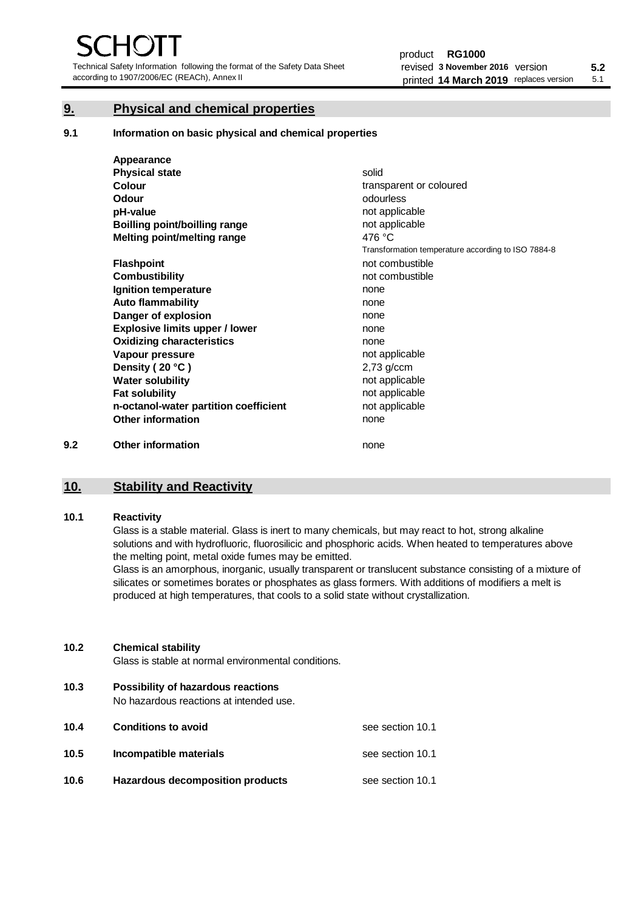Technical Safety Information following the format of the Safety Data Sheet according to 1907/2006/EC (REACh), Annex II

# **9. Physical and chemical properties**

**9.1 Information on basic physical and chemical properties**

|     | Appearance                            |                                                    |
|-----|---------------------------------------|----------------------------------------------------|
|     | <b>Physical state</b>                 | solid                                              |
|     | <b>Colour</b>                         | transparent or coloured                            |
|     | Odour                                 | odourless                                          |
|     | pH-value                              | not applicable                                     |
|     | <b>Boilling point/boilling range</b>  | not applicable                                     |
|     | Melting point/melting range           | 476 °C                                             |
|     |                                       | Transformation temperature according to ISO 7884-8 |
|     | <b>Flashpoint</b>                     | not combustible                                    |
|     | <b>Combustibility</b>                 | not combustible                                    |
|     | Ignition temperature                  | none                                               |
|     | <b>Auto flammability</b>              | none                                               |
|     | Danger of explosion                   | none                                               |
|     | <b>Explosive limits upper / lower</b> | none                                               |
|     | <b>Oxidizing characteristics</b>      | none                                               |
|     | Vapour pressure                       | not applicable                                     |
|     | Density (20 °C)                       | $2,73$ g/ccm                                       |
|     | <b>Water solubility</b>               | not applicable                                     |
|     | <b>Fat solubility</b>                 | not applicable                                     |
|     | n-octanol-water partition coefficient | not applicable                                     |
|     | <b>Other information</b>              | none                                               |
| 9.2 | <b>Other information</b>              | none                                               |

# **10. Stability and Reactivity**

#### **10.1 Reactivity**

Glass is a stable material. Glass is inert to many chemicals, but may react to hot, strong alkaline solutions and with hydrofluoric, fluorosilicic and phosphoric acids. When heated to temperatures above the melting point, metal oxide fumes may be emitted.

Glass is an amorphous, inorganic, usually transparent or translucent substance consisting of a mixture of silicates or sometimes borates or phosphates as glass formers. With additions of modifiers a melt is produced at high temperatures, that cools to a solid state without crystallization.

#### **10.2 Chemical stability**

Glass is stable at normal environmental conditions.

**10.3 Possibility of hazardous reactions** 

No hazardous reactions at intended use.

| 10.4 | <b>Conditions to avoid</b>       | see section 10.1 |
|------|----------------------------------|------------------|
| 10.5 | Incompatible materials           | see section 10.1 |
| 10.6 | Hazardous decomposition products | see section 10.1 |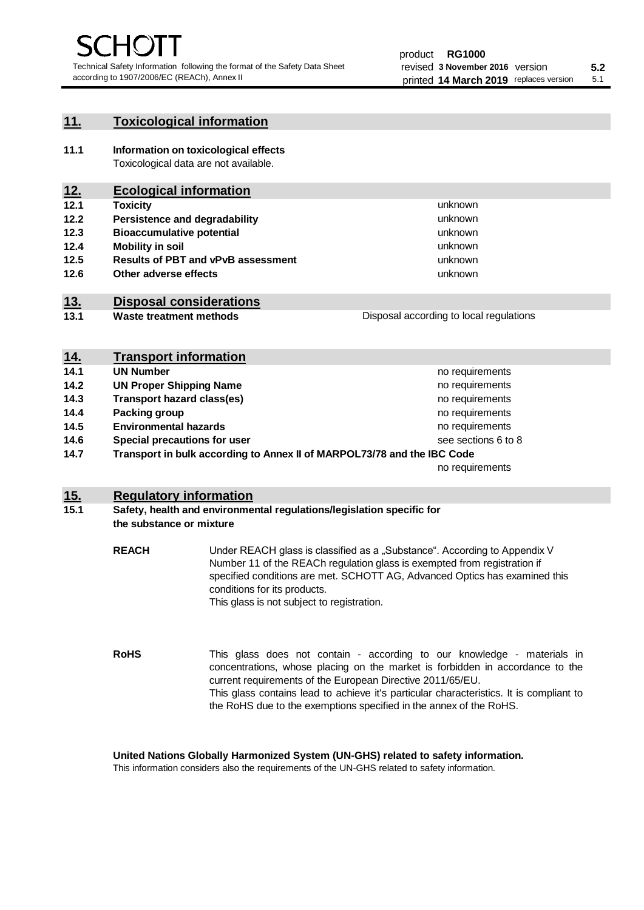unknown unknown unknown

unknown unknown unknown

Disposal according to local regulations

# **11. Toxicological information**

**11.1 Information on toxicological effects** Toxicological data are not available.

# **12. Ecological information**

- **12.1 Toxicity**
- **12.2 Persistence and degradability**
- **12.3 Bioaccumulative potential**
- **12.4 Mobility in soil**
- **12.5 Results of PBT and vPvB assessment**
- **12.6 Other adverse effects**

# **13. Disposal considerations**

**13.1 Waste treatment methods**

|            | <b>Transport information</b>                                            |                     |
|------------|-------------------------------------------------------------------------|---------------------|
| <u>14.</u> |                                                                         |                     |
| 14.1       | <b>UN Number</b>                                                        | no requirements     |
| 14.2       | <b>UN Proper Shipping Name</b>                                          | no requirements     |
| 14.3       | <b>Transport hazard class(es)</b>                                       | no requirements     |
| 14.4       | Packing group                                                           | no requirements     |
| 14.5       | <b>Environmental hazards</b>                                            | no requirements     |
| 14.6       | Special precautions for user                                            | see sections 6 to 8 |
| 14.7       | Transport in bulk according to Annex II of MARPOL73/78 and the IBC Code |                     |
|            |                                                                         | no requirements     |

# **15. Regulatory information**

#### **15.1 Safety, health and environmental regulations/legislation specific for the substance or mixture**

**REACH** Under REACH glass is classified as a "Substance". According to Appendix V Number 11 of the REACh regulation glass is exempted from registration if specified conditions are met. SCHOTT AG, Advanced Optics has examined this conditions for its products. This glass is not subject to registration.

**RoHS** This glass does not contain - according to our knowledge - materials in concentrations, whose placing on the market is forbidden in accordance to the current requirements of the European Directive 2011/65/EU. This glass contains lead to achieve it's particular characteristics. It is compliant to the RoHS due to the exemptions specified in the annex of the RoHS.

**United Nations Globally Harmonized System (UN-GHS) related to safety information.**

This information considers also the requirements of the UN-GHS related to safety information.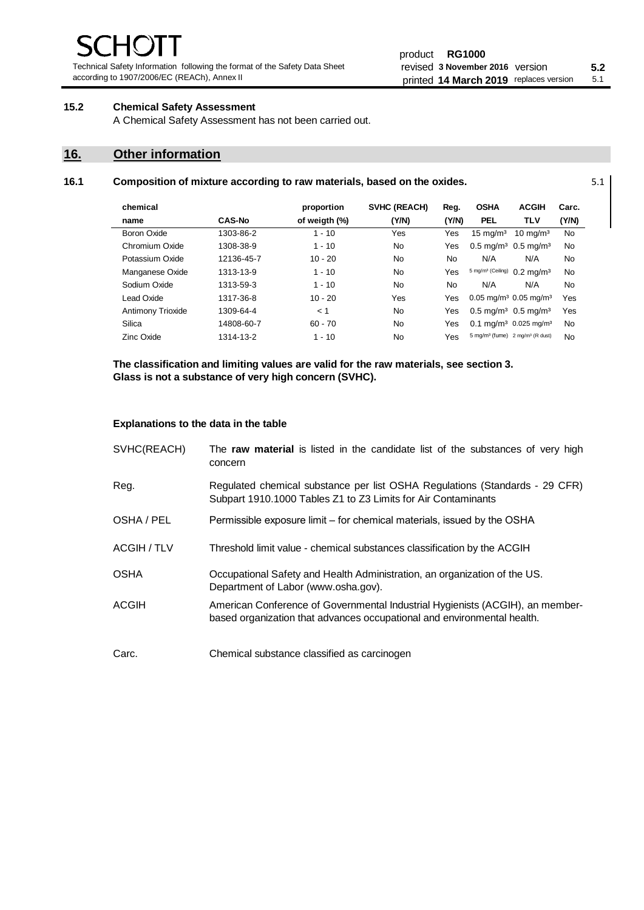Technical Safety Information following the format of the Safety Data Sheet according to 1907/2006/EC (REACh), Annex II

#### product **RG1000** revised **5.2 3 November 2016** version printed 14 March 2019 replaces version 5.1

# **15.2 Chemical Safety Assessment**

A Chemical Safety Assessment has not been carried out.

# **16. Other information**

#### **16.1 Composition of mixture according to raw materials, based on the oxides.** 5.1

| chemical          |               | proportion    | <b>SVHC (REACH)</b> | Reg.  | <b>OSHA</b>                                             | <b>ACGIH</b>                                 | Carc.     |
|-------------------|---------------|---------------|---------------------|-------|---------------------------------------------------------|----------------------------------------------|-----------|
| name              | <b>CAS-No</b> | of weigth (%) | (Y/N)               | (Y/N) | <b>PEL</b>                                              | <b>TLV</b>                                   | (Y/N)     |
| Boron Oxide       | 1303-86-2     | $1 - 10$      | Yes                 | Yes   | $15 \text{ mg/m}^3$                                     | $10 \text{ ma/m}^3$                          | No        |
| Chromium Oxide    | 1308-38-9     | $1 - 10$      | No                  | Yes   | $0.5 \text{ mg/m}^3$ 0.5 mg/m <sup>3</sup>              |                                              | <b>No</b> |
| Potassium Oxide   | 12136-45-7    | $10 - 20$     | No                  | No    | N/A                                                     | N/A                                          | No        |
| Manganese Oxide   | 1313-13-9     | $1 - 10$      | No                  | Yes   | 5 mg/m <sup>3</sup> (Ceiling)                           | $0.2 \text{ mg/m}^3$                         | <b>No</b> |
| Sodium Oxide      | 1313-59-3     | $1 - 10$      | N <sub>0</sub>      | No.   | N/A                                                     | N/A                                          | No        |
| Lead Oxide        | 1317-36-8     | $10 - 20$     | Yes                 | Yes   | $0.05$ mg/m <sup>3</sup> 0.05 mg/m <sup>3</sup>         |                                              | Yes       |
| Antimony Trioxide | 1309-64-4     | < 1           | N <sub>0</sub>      | Yes   | $0.5 \text{ mg/m}^3$ 0.5 mg/m <sup>3</sup>              |                                              | Yes       |
| Silica            | 14808-60-7    | $60 - 70$     | N <sub>0</sub>      | Yes   |                                                         | $0.1 \text{ mq/m}^3$ 0.025 mg/m <sup>3</sup> | <b>No</b> |
| Zinc Oxide        | 1314-13-2     | $1 - 10$      | No                  | Yes   | 5 mg/m <sup>3</sup> (fume) 2 mg/m <sup>3</sup> (R dust) |                                              | No        |

**The classification and limiting values are valid for the raw materials, see section 3. Glass is not a substance of very high concern (SVHC).**

#### **Explanations to the data in the table**

| SVHC(REACH)  | The raw material is listed in the candidate list of the substances of very high<br>concern                                                               |
|--------------|----------------------------------------------------------------------------------------------------------------------------------------------------------|
| Reg.         | Regulated chemical substance per list OSHA Regulations (Standards - 29 CFR)<br>Subpart 1910.1000 Tables Z1 to Z3 Limits for Air Contaminants             |
| OSHA / PEL   | Permissible exposure limit – for chemical materials, issued by the OSHA                                                                                  |
| ACGIH / TLV  | Threshold limit value - chemical substances classification by the ACGIH                                                                                  |
| <b>OSHA</b>  | Occupational Safety and Health Administration, an organization of the US.<br>Department of Labor (www.osha.gov).                                         |
| <b>ACGIH</b> | American Conference of Governmental Industrial Hygienists (ACGIH), an member-<br>based organization that advances occupational and environmental health. |
| Carc.        | Chemical substance classified as carcinogen                                                                                                              |